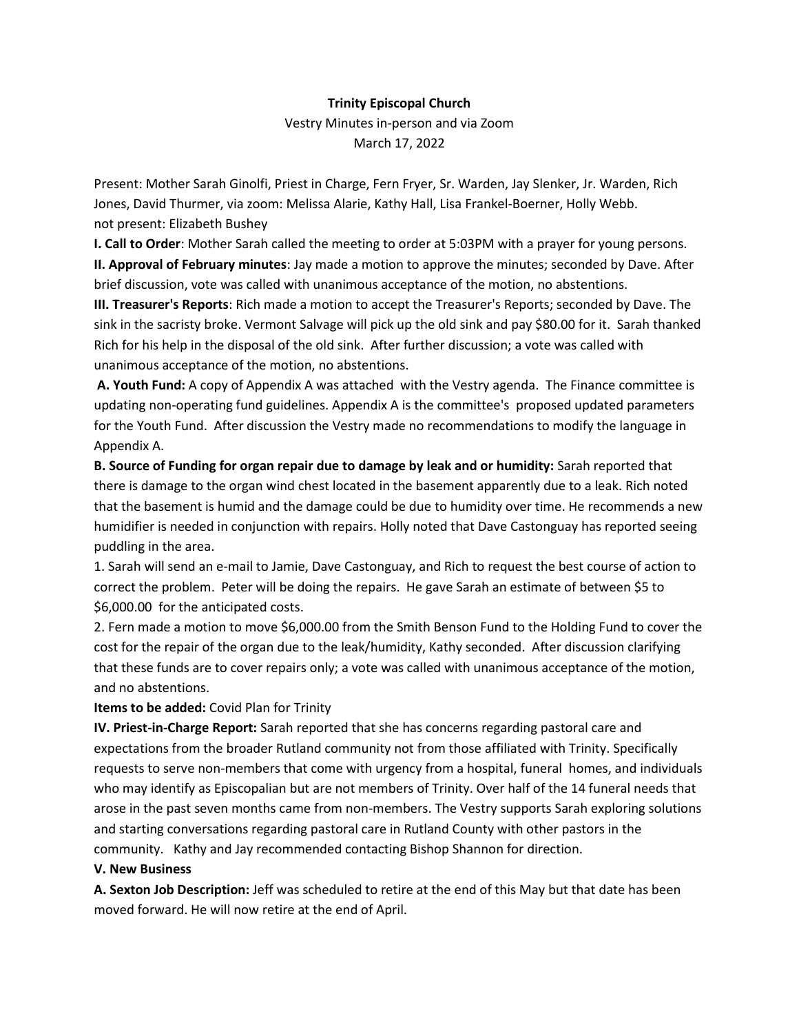### **Trinity Episcopal Church**

Vestry Minutes in-person and via Zoom March 17, 2022

Present: Mother Sarah Ginolfi, Priest in Charge, Fern Fryer, Sr. Warden, Jay Slenker, Jr. Warden, Rich Jones, David Thurmer, via zoom: Melissa Alarie, Kathy Hall, Lisa Frankel-Boerner, Holly Webb. not present: Elizabeth Bushey

**I. Call to Order**: Mother Sarah called the meeting to order at 5:03PM with a prayer for young persons.

**II. Approval of February minutes**: Jay made a motion to approve the minutes; seconded by Dave. After brief discussion, vote was called with unanimous acceptance of the motion, no abstentions.

**III. Treasurer's Reports**: Rich made a motion to accept the Treasurer's Reports; seconded by Dave. The sink in the sacristy broke. Vermont Salvage will pick up the old sink and pay \$80.00 for it. Sarah thanked Rich for his help in the disposal of the old sink. After further discussion; a vote was called with unanimous acceptance of the motion, no abstentions.

**A. Youth Fund:** A copy of Appendix A was attached with the Vestry agenda. The Finance committee is updating non-operating fund guidelines. Appendix A is the committee's proposed updated parameters for the Youth Fund. After discussion the Vestry made no recommendations to modify the language in Appendix A.

**B. Source of Funding for organ repair due to damage by leak and or humidity:** Sarah reported that there is damage to the organ wind chest located in the basement apparently due to a leak. Rich noted that the basement is humid and the damage could be due to humidity over time. He recommends a new humidifier is needed in conjunction with repairs. Holly noted that Dave Castonguay has reported seeing puddling in the area.

1. Sarah will send an e-mail to Jamie, Dave Castonguay, and Rich to request the best course of action to correct the problem. Peter will be doing the repairs. He gave Sarah an estimate of between \$5 to \$6,000.00 for the anticipated costs.

2. Fern made a motion to move \$6,000.00 from the Smith Benson Fund to the Holding Fund to cover the cost for the repair of the organ due to the leak/humidity, Kathy seconded. After discussion clarifying that these funds are to cover repairs only; a vote was called with unanimous acceptance of the motion, and no abstentions.

### **Items to be added:** Covid Plan for Trinity

**IV. Priest-in-Charge Report:** Sarah reported that she has concerns regarding pastoral care and expectations from the broader Rutland community not from those affiliated with Trinity. Specifically requests to serve non-members that come with urgency from a hospital, funeral homes, and individuals who may identify as Episcopalian but are not members of Trinity. Over half of the 14 funeral needs that arose in the past seven months came from non-members. The Vestry supports Sarah exploring solutions and starting conversations regarding pastoral care in Rutland County with other pastors in the community. Kathy and Jay recommended contacting Bishop Shannon for direction.

### **V. New Business**

**A. Sexton Job Description:** Jeff was scheduled to retire at the end of this May but that date has been moved forward. He will now retire at the end of April.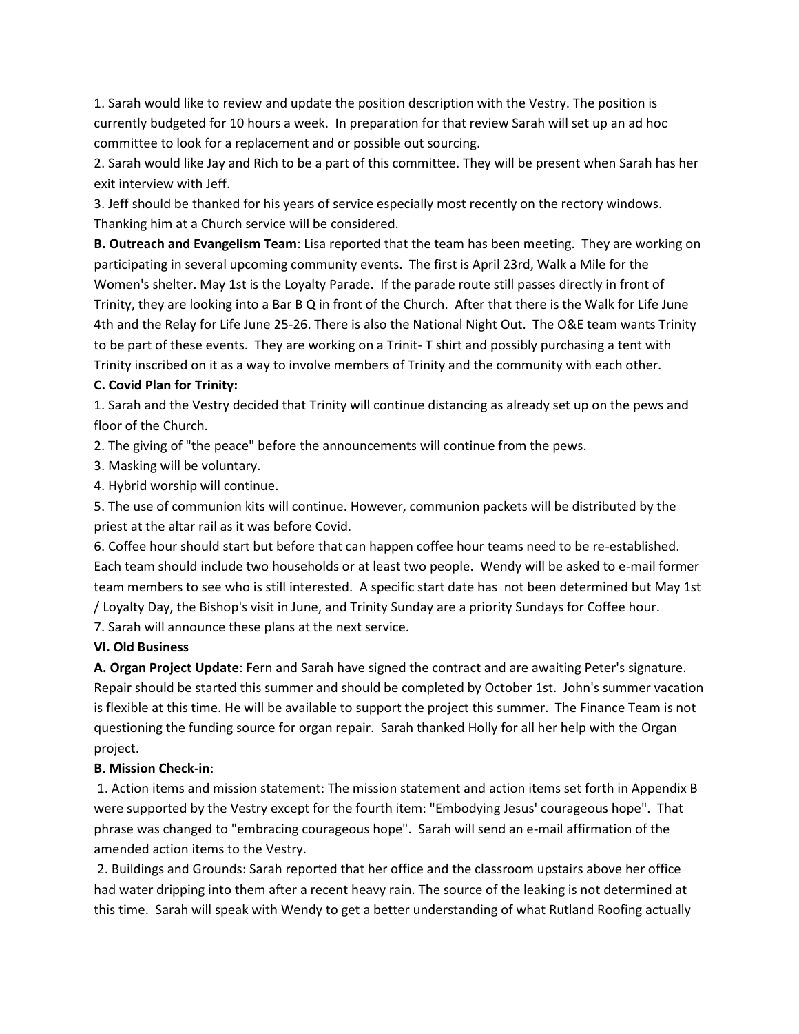1. Sarah would like to review and update the position description with the Vestry. The position is currently budgeted for 10 hours a week. In preparation for that review Sarah will set up an ad hoc committee to look for a replacement and or possible out sourcing.

2. Sarah would like Jay and Rich to be a part of this committee. They will be present when Sarah has her exit interview with Jeff.

3. Jeff should be thanked for his years of service especially most recently on the rectory windows. Thanking him at a Church service will be considered.

**B. Outreach and Evangelism Team**: Lisa reported that the team has been meeting. They are working on participating in several upcoming community events. The first is April 23rd, Walk a Mile for the Women's shelter. May 1st is the Loyalty Parade. If the parade route still passes directly in front of Trinity, they are looking into a Bar B Q in front of the Church. After that there is the Walk for Life June 4th and the Relay for Life June 25-26. There is also the National Night Out. The O&E team wants Trinity to be part of these events. They are working on a Trinit- T shirt and possibly purchasing a tent with Trinity inscribed on it as a way to involve members of Trinity and the community with each other.

## **C. Covid Plan for Trinity:**

1. Sarah and the Vestry decided that Trinity will continue distancing as already set up on the pews and floor of the Church.

2. The giving of "the peace" before the announcements will continue from the pews.

3. Masking will be voluntary.

4. Hybrid worship will continue.

5. The use of communion kits will continue. However, communion packets will be distributed by the priest at the altar rail as it was before Covid.

6. Coffee hour should start but before that can happen coffee hour teams need to be re-established. Each team should include two households or at least two people. Wendy will be asked to e-mail former team members to see who is still interested. A specific start date has not been determined but May 1st / Loyalty Day, the Bishop's visit in June, and Trinity Sunday are a priority Sundays for Coffee hour. 7. Sarah will announce these plans at the next service.

### **VI. Old Business**

**A. Organ Project Update**: Fern and Sarah have signed the contract and are awaiting Peter's signature. Repair should be started this summer and should be completed by October 1st. John's summer vacation is flexible at this time. He will be available to support the project this summer. The Finance Team is not questioning the funding source for organ repair. Sarah thanked Holly for all her help with the Organ project.

# **B. Mission Check-in**:

1. Action items and mission statement: The mission statement and action items set forth in Appendix B were supported by the Vestry except for the fourth item: "Embodying Jesus' courageous hope". That phrase was changed to "embracing courageous hope". Sarah will send an e-mail affirmation of the amended action items to the Vestry.

2. Buildings and Grounds: Sarah reported that her office and the classroom upstairs above her office had water dripping into them after a recent heavy rain. The source of the leaking is not determined at this time. Sarah will speak with Wendy to get a better understanding of what Rutland Roofing actually